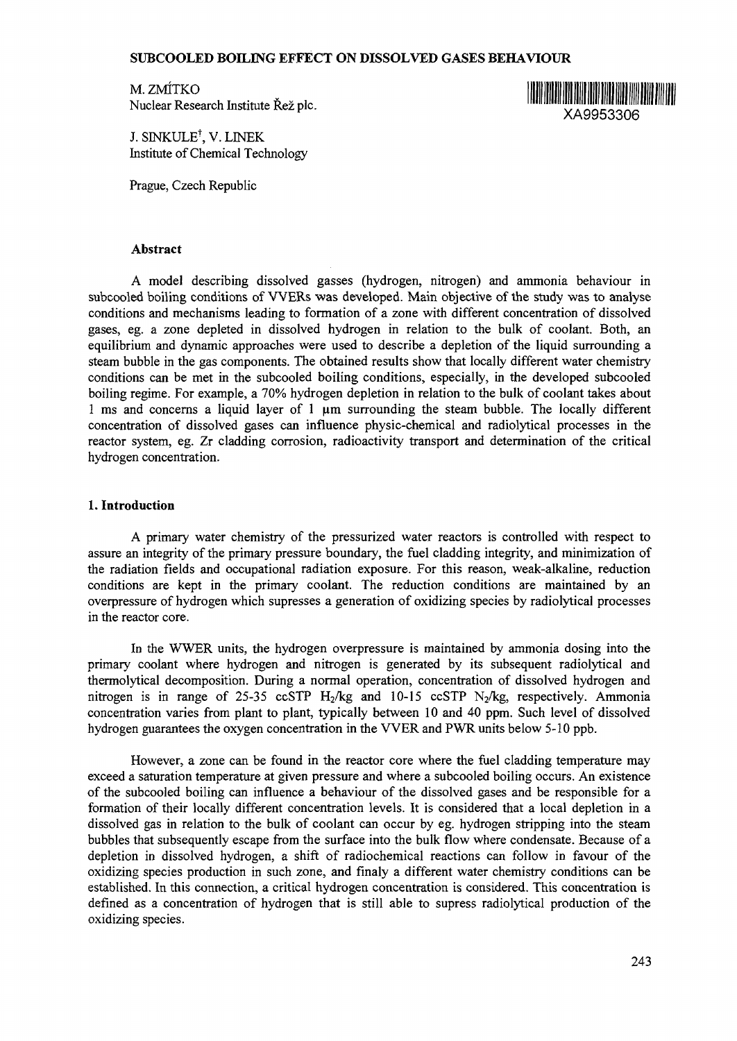## **SUBCOOLED BOILING EFFECT ON DISSOLVED GASES BEHAVIOUR**

M. ZMITKO M. ZMÍTKO<br>Nuclear Research Institute Řež pic. XA9953306

J. SINKULE $^\dagger$ , V. LINEK Institute of Chemical Technology

Prague, Czech Republic

### **Abstract**

A model describing dissolved gasses (hydrogen, nitrogen) and ammonia behaviour in subcooled boiling conditions of WERs was developed. Main objective of the study was to analyse conditions and mechanisms leading to formation of a zone with different concentration of dissolved gases, eg. a zone depleted in dissolved hydrogen in relation to the bulk of coolant. Both, an equilibrium and dynamic approaches were used to describe a depletion of the liquid surrounding a steam bubble in the gas components. The obtained results show that locally different water chemistry conditions can be met in the subcooled boiling conditions, especially, in the developed subcooled boiling regime. For example, a 70% hydrogen depletion in relation to the bulk of coolant takes about 1 ms and concerns a liquid layer of 1 urn surrounding the steam bubble. The locally different concentration of dissolved gases can influence physic-chemical and radiolytical processes in the reactor system, eg. Zr cladding corrosion, radioactivity transport and determination of the critical hydrogen concentration.

## **1. Introduction**

A primary water chemistry of the pressurized water reactors is controlled with respect to assure an integrity of the primary pressure boundary, the fuel cladding integrity, and minimization of the radiation fields and occupational radiation exposure. For this reason, weak-alkaline, reduction conditions are kept in the primary coolant. The reduction conditions are maintained by an overpressure of hydrogen which supresses a generation of oxidizing species by radiolytical processes in the reactor core.

In the WWER units, the hydrogen overpressure is maintained by ammonia dosing into the primary coolant where hydrogen and nitrogen is generated by its subsequent radiolytical and thermolytical decomposition. During a normal operation, concentration of dissolved hydrogen and nitrogen is in range of 25-35 ccSTP  $H_2/kg$  and 10-15 ccSTP  $N_2/kg$ , respectively. Ammonia concentration varies from plant to plant, typically between 10 and 40 ppm. Such level of dissolved hydrogen guarantees the oxygen concentration in the VVER and PWR units below 5-10 ppb.

However, a zone can be found in the reactor core where the fuel cladding temperature may exceed a saturation temperature at given pressure and where a subcooled boiling occurs. An existence of the subcooled boiling can influence a behaviour of the dissolved gases and be responsible for a formation of their locally different concentration levels. It is considered that a local depletion in a dissolved gas in relation to the bulk of coolant can occur by eg. hydrogen stripping into the steam bubbles that subsequently escape from the surface into the bulk flow where condensate. Because of a depletion in dissolved hydrogen, a shift of radiochemical reactions can follow in favour of the oxidizing species production in such zone, and finaly a different water chemistry conditions can be established. In this connection, a critical hydrogen concentration is considered. This concentration is defined as a concentration of hydrogen that is still able to supress radiolytical production of the oxidizing species.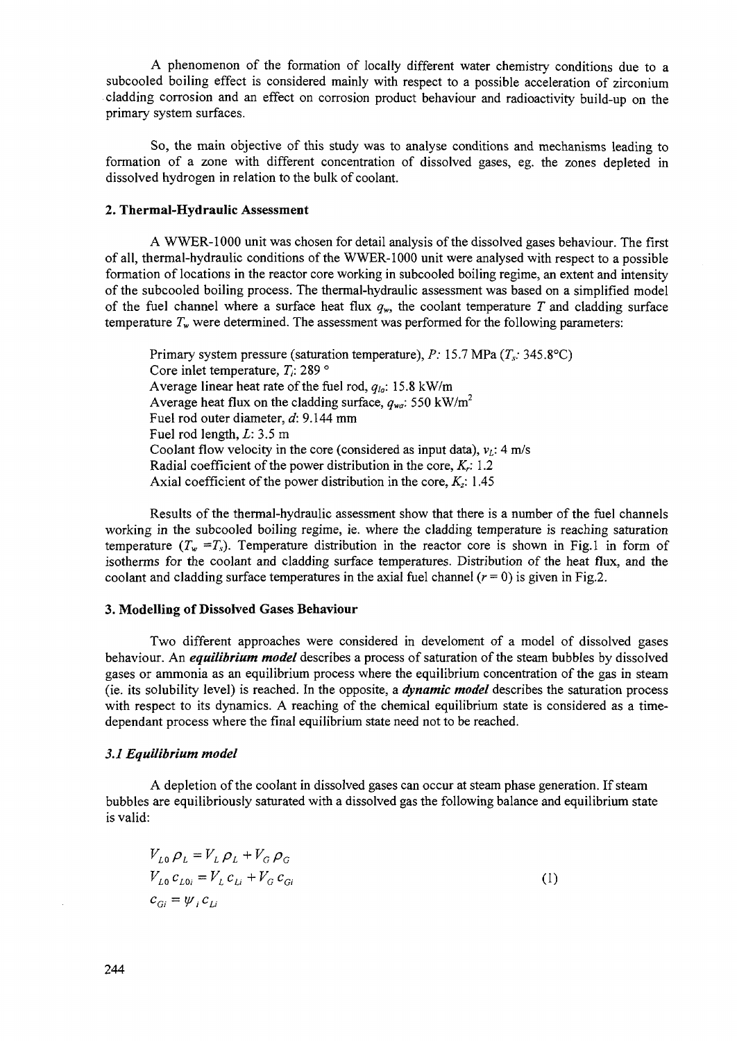A phenomenon of the formation of locally different water chemistry conditions due to a subcooled boiling effect is considered mainly with respect to a possible acceleration of zirconium cladding corrosion and an effect on corrosion product behaviour and radioactivity build-up on the primary system surfaces.

So, the main objective of this study was to analyse conditions and mechanisms leading to formation of a zone with different concentration of dissolved gases, eg. the zones depleted in dissolved hydrogen in relation to the bulk of coolant.

# **2. Thermal-Hydraulic Assessment**

A WWER-1000 unit was chosen for detail analysis of the dissolved gases behaviour. The first of all, thermal-hydraulic conditions of the WWER-1000 unit were analysed with respect to a possible formation of locations in the reactor core working in subcooled boiling regime, an extent and intensity of the subcooled boiling process. The thermal-hydraulic assessment was based on a simplified model of the fuel channel where a surface heat flux  $q_w$ , the coolant temperature T and cladding surface temperature  $T_w$  were determined. The assessment was performed for the following parameters:

Primary system pressure (saturation temperature), *P:* 15.7 MPa *(Ts:* 345.8°C) Core inlet temperature, *T;.* 289 ° Average linear heat rate of the fuel rod,  $q_{1a}$ : 15.8 kW/m Average heat flux on the cladding surface,  $q_{w}$ : 550 kW/m<sup>2</sup> Fuel rod outer diameter, *d:* 9.144 mm Fuel rod length, *L:* 3.5 m Coolant flow velocity in the core (considered as input data),  $v_L$ : 4 m/s Radial coefficient of the power distribution in the core, *Kr:* 1.2 Axial coefficient of the power distribution in the core, *Kz:* 1.45

Results of the thermal-hydraulic assessment show that there is a number of the fuel channels working in the subcooled boiling regime, ie. where the cladding temperature is reaching saturation temperature  $(T_w = T_s)$ . Temperature distribution in the reactor core is shown in Fig.1 in form of isotherms for the coolant and cladding surface temperatures. Distribution of the heat flux, and the coolant and cladding surface temperatures in the axial fuel channel  $(r = 0)$  is given in Fig.2.

## **3. Modelling of Dissolved Gases Behaviour**

Two different approaches were considered in develoment of a model of dissolved gases behaviour. An *equilibrium model* describes a process of saturation of the steam bubbles by dissolved gases or ammonia as an equilibrium process where the equilibrium concentration of the gas in steam (ie. its solubility level) is reached. In the opposite, a *dynamic model* describes the saturation process with respect to its dynamics. A reaching of the chemical equilibrium state is considered as a timedependant process where the final equilibrium state need not to be reached.

#### *3.1 Equilibrium model*

A depletion of the coolant in dissolved gases can occur at steam phase generation. If steam bubbles are equilibriously saturated with a dissolved gas the following balance and equilibrium state is valid:

$$
V_{L0} \rho_L = V_L \rho_L + V_G \rho_G
$$
  
\n
$$
V_{L0} c_{L0i} = V_L c_{Li} + V_G c_{Gi}
$$
  
\n
$$
c_{Gi} = \psi_i c_{Li}
$$
\n(1)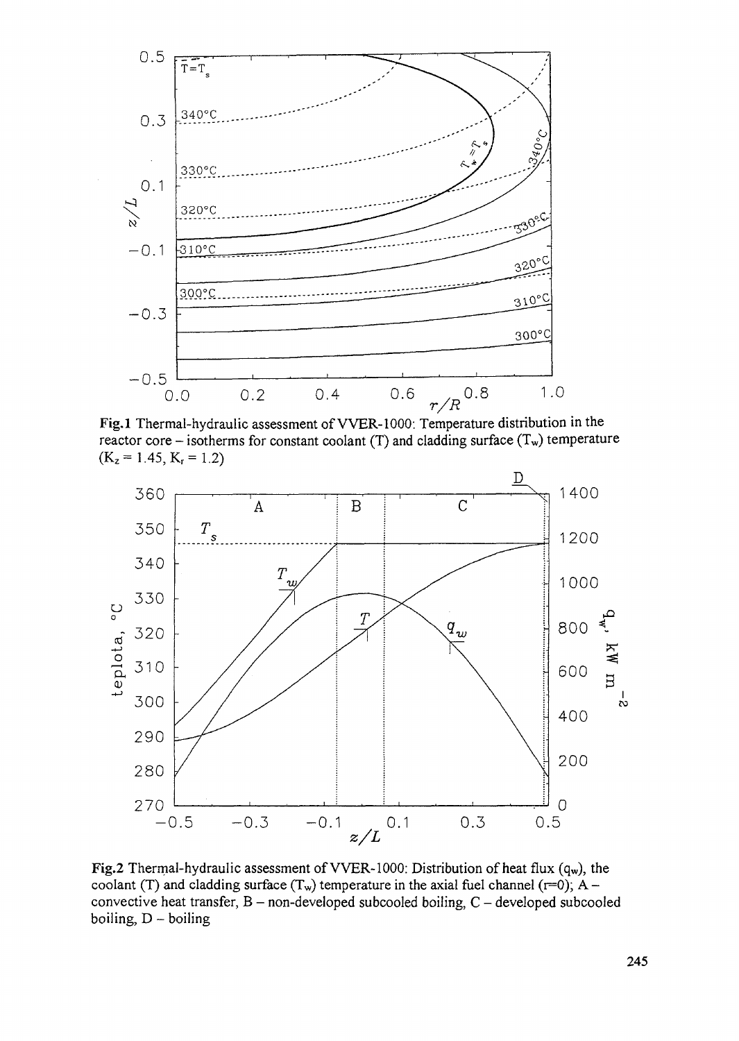

Fig.l Thermal-hydraulic assessment of VVER-1000: Temperature distribution in the reactor core – isotherms for constant coolant (T) and cladding surface  $(T_w)$  temperature  $(K_z = 1.45, K_r = 1.2)$ 



Fig.2 Thermal-hydraulic assessment of VVER-1000: Distribution of heat flux  $(q_w)$ , the coolant (T) and cladding surface  $(T_w)$  temperature in the axial fuel channel (r=0); A convective heat transfer,  $B$  – non-developed subcooled boiling,  $C$  – developed subcooled boiling,  $D -$  boiling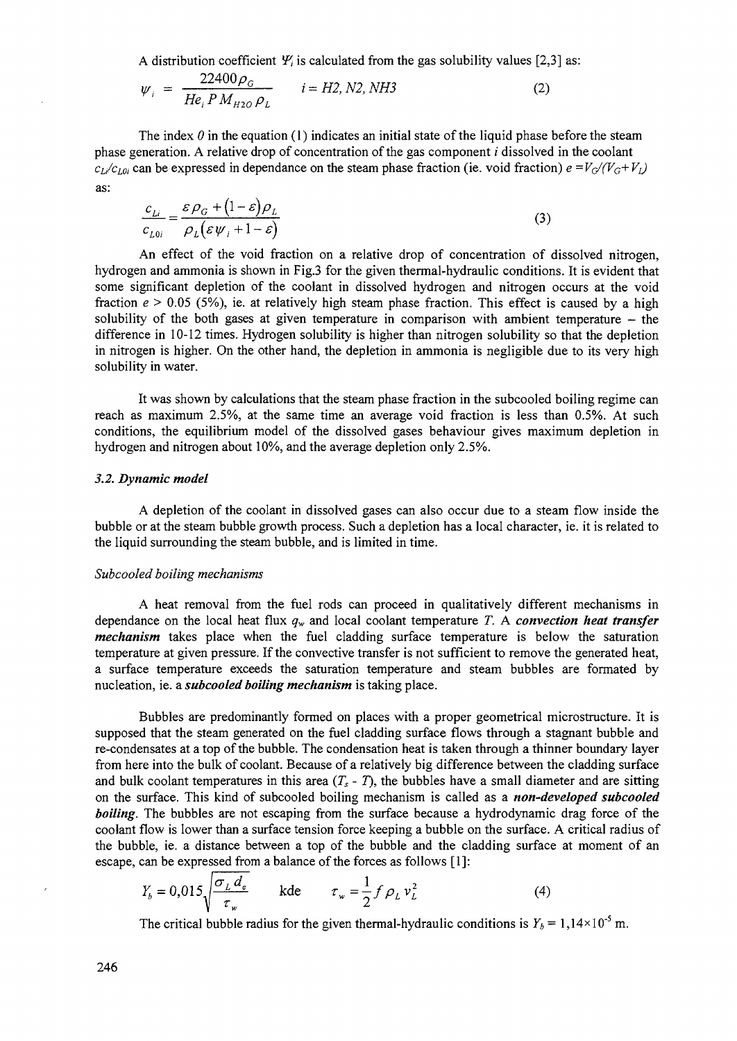A distribution coefficient  $\mathcal{Y}_i$  is calculated from the gas solubility values [2,3] as:

$$
\psi_{i} = \frac{22400 \rho_{G}}{He_{i} P M_{H2O} \rho_{L}} \qquad i = H2, N2, NH3
$$
 (2)

The index  $\theta$  in the equation (1) indicates an initial state of the liquid phase before the steam phase generation. A relative drop of concentration of the gas component *i* dissolved in the coolant  $c_l/c_{l,0i}$  can be expressed in dependance on the steam phase fraction (ie. void fraction)  $e = V_G/(V_G + V_I)$ as:

$$
\frac{c_{Li}}{c_{L0i}} = \frac{\varepsilon \rho_G + (1 - \varepsilon) \rho_L}{\rho_L (\varepsilon \psi_i + 1 - \varepsilon)}
$$
(3)

An effect of the void fraction on a relative drop of concentration of dissolved nitrogen, hydrogen and ammonia is shown in Fig.3 for the given thermal-hydraulic conditions. It is evident that some significant depletion of the coolant in dissolved hydrogen and nitrogen occurs at the void fraction *e >* 0.05 (5%), ie. at relatively high steam phase fraction. This effect is caused by a high solubility of the both gases at given temperature in comparison with ambient temperature  $-$  the difference in 10-12 times. Hydrogen solubility is higher than nitrogen solubility so that the depletion in nitrogen is higher. On the other hand, the depletion in ammonia is negligible due to its very high solubility in water.

It was shown by calculations that the steam phase fraction in the subcooled boiling regime can reach as maximum 2.5%, at the same time an average void fraction is less than 0.5%. At such conditions, the equilibrium model of the dissolved gases behaviour gives maximum depletion in hydrogen and nitrogen about 10%, and the average depletion only 2.5%.

#### *3.2. Dynamic model*

*A* depletion of the coolant in dissolved gases can also occur due to a steam flow inside the bubble or at the steam bubble growth process. Such a depletion has a local character, ie. it is related to the liquid surrounding the steam bubble, and is limited in time.

#### *Subcooled boiling mechanisms*

A heat removal from the fuel rods can proceed in qualitatively different mechanisms in dependance on the local heat flux *qv* and local coolant temperature *T.* A *convection heat transfer mechanism* takes place when the fuel cladding surface temperature is below the saturation temperature at given pressure. If the convective transfer is not sufficient to remove the generated heat, a surface temperature exceeds the saturation temperature and steam bubbles are formated by nucleation, ie. a *subcooled boiling mechanism* is taking place.

Bubbles are predominantly formed on places with a proper geometrical microstructure. It is supposed that the steam generated on the fuel cladding surface flows through a stagnant bubble and re-condensates at a top of the bubble. The condensation heat is taken through a thinner boundary layer from here into the bulk of coolant. Because of a relatively big difference between the cladding surface and bulk coolant temperatures in this area  $(T_s - T)$ , the bubbles have a small diameter and are sitting on the surface. This kind of subcooled boiling mechanism is called as a *non-developed subcooled boiling.* The bubbles are not escaping from the surface because a hydrodynamic drag force of the coolant flow is lower than a surface tension force keeping a bubble on the surface. A critical radius of the bubble, ie. a distance between a top of the bubble and the cladding surface at moment of an escape, can be expressed from a balance of the forces as follows [1]:

$$
Y_b = 0.015 \sqrt{\frac{\sigma_L d_e}{\tau_w}} \quad \text{kde} \quad \tau_w = \frac{1}{2} f \rho_L v_L^2 \tag{4}
$$

The critical bubble radius for the given thermal-hydraulic conditions is  $Y_b = 1,14 \times 10^{-5}$  m.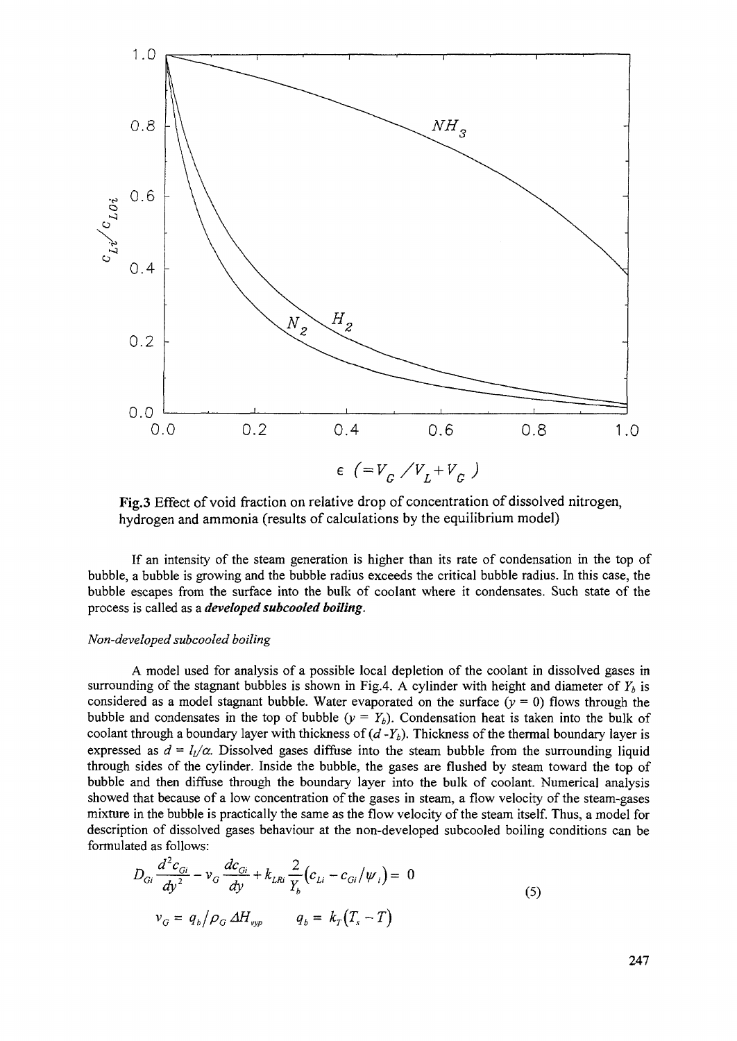

Fig.3 Effect of void fraction on relative drop of concentration of dissolved nitrogen, hydrogen and ammonia (results of calculations by the equilibrium model)

If an intensity of the steam generation is higher than its rate of condensation in the top of bubble, a bubble is growing and the bubble radius exceeds the critical bubble radius. In this case, the bubble escapes from the surface into the bulk of coolant where it condensates. Such state of the process is called as a *developed subcooled boiling.*

#### *Non-developed subcooled boiling*

A model used for analysis of a possible local depletion of the coolant in dissolved gases in surrounding of the stagnant bubbles is shown in Fig.4. A cylinder with height and diameter of  $Y<sub>b</sub>$  is considered as a model stagnant bubble. Water evaporated on the surface  $(y = 0)$  flows through the bubble and condensates in the top of bubble  $(y = Y_b)$ . Condensation heat is taken into the bulk of coolant through a boundary layer with thickness of *(d-Yb).* Thickness of the thermal boundary layer is expressed as  $d = I_1/\alpha$ . Dissolved gases diffuse into the steam bubble from the surrounding liquid through sides of the cylinder. Inside the bubble, the gases are flushed by steam toward the top of bubble and then diffuse through the boundary layer into the bulk of coolant. Numerical analysis showed that because of a low concentration of the gases in steam, a flow velocity of the steam-gases mixture in the bubble is practically the same as the flow velocity of the steam itself. Thus, a model for description of dissolved gases behaviour at the non-developed subcooled boiling conditions can be formulated as follows:

$$
D_{Gi} \frac{d^2 c_{Gi}}{dy^2} - \nu_G \frac{dc_{Gi}}{dy} + k_{LRi} \frac{2}{Y_b} (c_{Li} - c_{Gi}/\psi_i) = 0
$$
  

$$
\nu_G = q_b / \rho_G \Delta H_{vsp} \qquad q_b = k_T (T_s - T)
$$
 (5)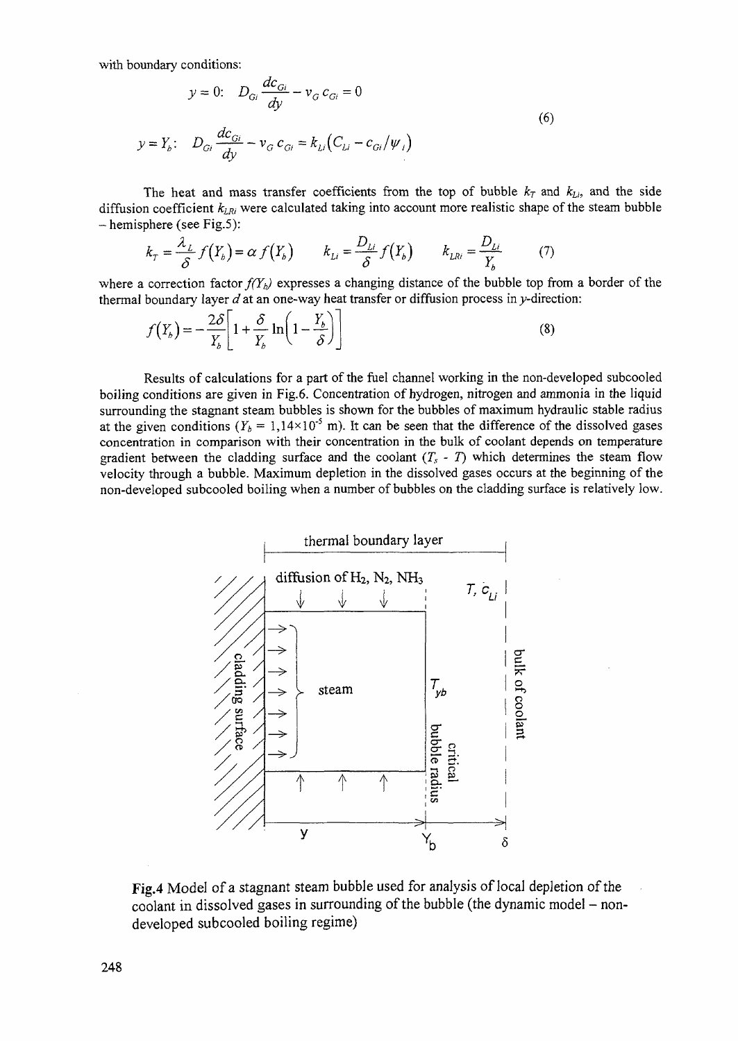with boundary conditions:

$$
y = 0: \t D_{Gi} \frac{dc_{Gi}}{dy} - v_G c_{Gi} = 0
$$
  

$$
v = Y_b: \t D_{Gi} \frac{dc_{Gi}}{dy} - v_G c_{Gi} = k_{Li}(C_{Li} - c_{Gi}/\psi_i)
$$
 (6)

The heat and mass transfer coefficients from the top of bubble  $k_T$  and  $k_{Li}$ , and the side diffusion coefficient *kLRi* were calculated taking into account more realistic shape of the steam bubble - hemisphere (see Fig.5):

$$
k_{T} = \frac{\lambda_{L}}{\delta} f(Y_{b}) = \alpha f(Y_{b}) \qquad k_{Li} = \frac{D_{Li}}{\delta} f(Y_{b}) \qquad k_{L} = \frac{D_{Li}}{Y_{b}} \qquad (7)
$$

where a correction factor  $f(Y_b)$  expresses a changing distance of the bubble top from a border of the thermal boundary layer  $d$  at an one-way heat transfer or diffusion process in  $y$ -direction:

$$
f(Y_b) = -\frac{2\delta}{Y_b} \left[ 1 + \frac{\delta}{Y_b} \ln \left( 1 - \frac{Y_b}{\delta} \right) \right]
$$
 (8)

Results of calculations for a part of the fuel channel working in the non-developed subcooled boiling conditions are given in Fig. 6. Concentration of hydrogen, nitrogen and ammonia in the liquid surrounding the stagnant steam bubbles is shown for the bubbles of maximum hydraulic stable radius at the given conditions ( $Y_b = 1,14 \times 10^{-5}$  m). It can be seen that the difference of the dissolved gases concentration in comparison with their concentration in the bulk of coolant depends on temperature concentration in comparison with their concentration in the buik of coolant depends on temperature gradient between the cladding surface and the coolant  $(T_s - T)$  which determines the steam flow velocity through a bubble. Maximum depletion in the dissolved gases occurs at the beginning of the non-developed subcooled boiling when a number of bubbles on the cladding surface is relatively low.



Fig.4 Model of a stagnant steam bubble used for analysis of local depletion of the coolant in dissolved gases in surrounding of the bubble (the dynamic model - nondeveloped subcooled boiling regime)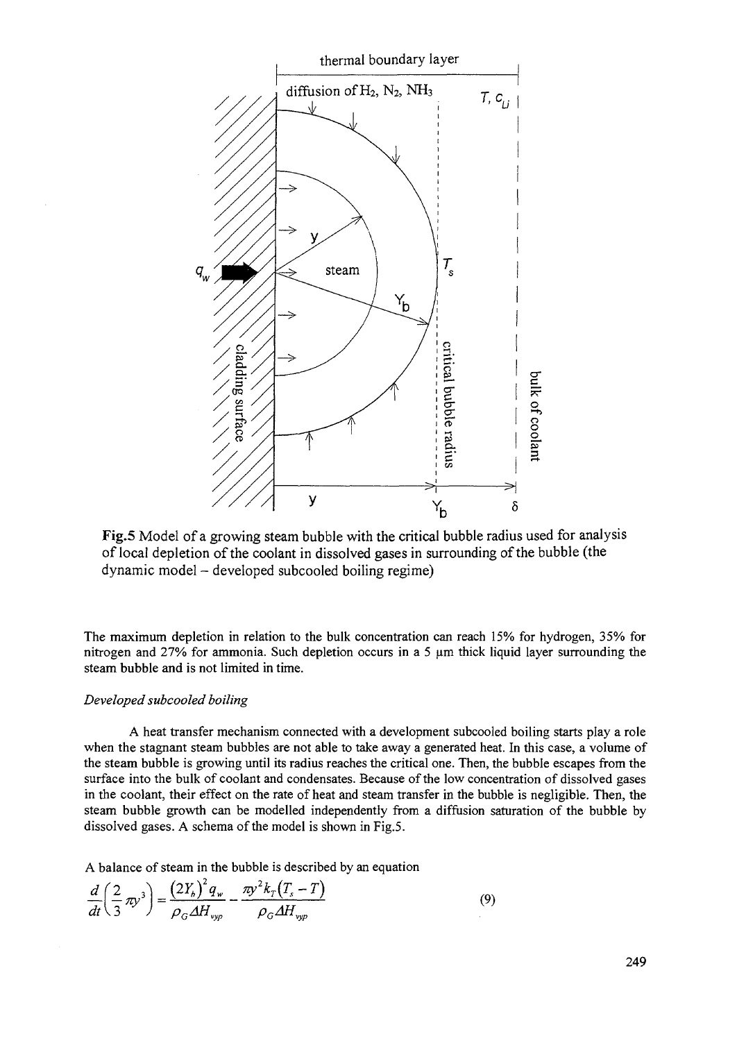

Fig.5 Model of a growing steam bubble with the critical bubble radius used for analysis of local depletion of the coolant in dissolved gases in surrounding of the bubble (the dynamic model - developed subcooled boiling regime)

The maximum depletion in relation to the bulk concentration can reach 15% for hydrogen, 35% for nitrogen and 27% for ammonia. Such depletion occurs in a 5  $\mu$ m thick liquid layer surrounding the steam bubble and is not limited in time.

## *Developed subcooled boiling*

A heat transfer mechanism connected with a development subcooled boiling starts play a role when the stagnant steam bubbles are not able to take away a generated heat. In this case, a volume of the steam bubble is growing until its radius reaches the critical one. Then, the bubble escapes from the surface into the bulk of coolant and condensates. Because of the low concentration of dissolved gases in the coolant, their effect on the rate of heat and steam transfer in the bubble is negligible. Then, the steam bubble growth can be modelled independently from a diffusion saturation of the bubble by dissolved gases. A schema of the model is shown in Fig.5.

A balance of steam in the bubble is described by an equation

$$
\frac{d}{dt}\left(\frac{2}{3}\pi y^3\right) = \frac{\left(2Y_b\right)^2 q_w}{\rho_G \Delta H_{vyp}} - \frac{\pi y^2 k_T \left(T_s - T\right)}{\rho_G \Delta H_{vyp}}\tag{9}
$$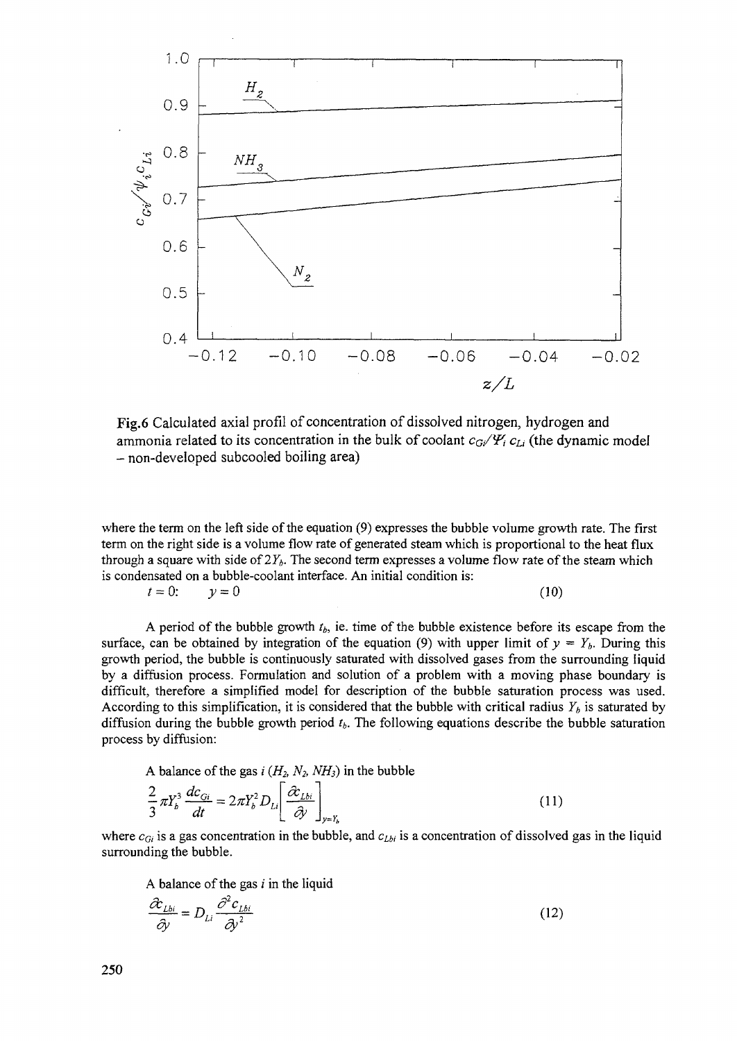

Fig.6 Calculated axial profil of concentration of dissolved nitrogen, hydrogen and ammonia related to its concentration in the bulk of coolant  $c_{\rm G}/\gamma$ <sub>i</sub>  $c_{\rm Li}$  (the dynamic model - non-developed subcooled boiling area)

where the term on the left side of the equation (9) expresses the bubble volume growth rate. The first term on the right side is a volume flow rate of generated steam which is proportional to the heat flux through a square with side of  $2Y_h$ . The second term expresses a volume flow rate of the steam which is condensated on a bubble-coolant interface. An initial condition is:

$$
t = 0; \qquad y = 0 \tag{10}
$$

A period of the bubble growth *tb,* ie. time of the bubble existence before its escape from the surface, can be obtained by integration of the equation (9) with upper limit of  $y = Y_b$ . During this growth period, the bubble is continuously saturated with dissolved gases from the surrounding liquid by a diffusion process. Formulation and solution of a problem with a moving phase boundary is difficult, therefore a simplified model for description of the bubble saturation process was used. According to this simplification, it is considered that the bubble with critical radius  $Y_b$  is saturated by diffusion during the bubble growth period *tb.* The following equations describe the bubble saturation process by diffusion:

A balance of the gas  $i (H_2, N_2, NH_3)$  in the bubble

$$
\frac{2}{3}\pi Y_b^3 \frac{dc_{Gi}}{dt} = 2\pi Y_b^2 D_{Li} \left[ \frac{\partial c_{Lbi}}{\partial y} \right]_{y=Y_b}
$$
\n(11)

where  $c_{Gi}$  is a gas concentration in the bubble, and  $c_{Lbi}$  is a concentration of dissolved gas in the liquid surrounding the bubble.

A balance of the gas  $i$  in the liquid

$$
\frac{\partial c_{Lbi}}{\partial y} = D_{Li} \frac{\partial^2 c_{Lbi}}{\partial y^2}
$$
 (12)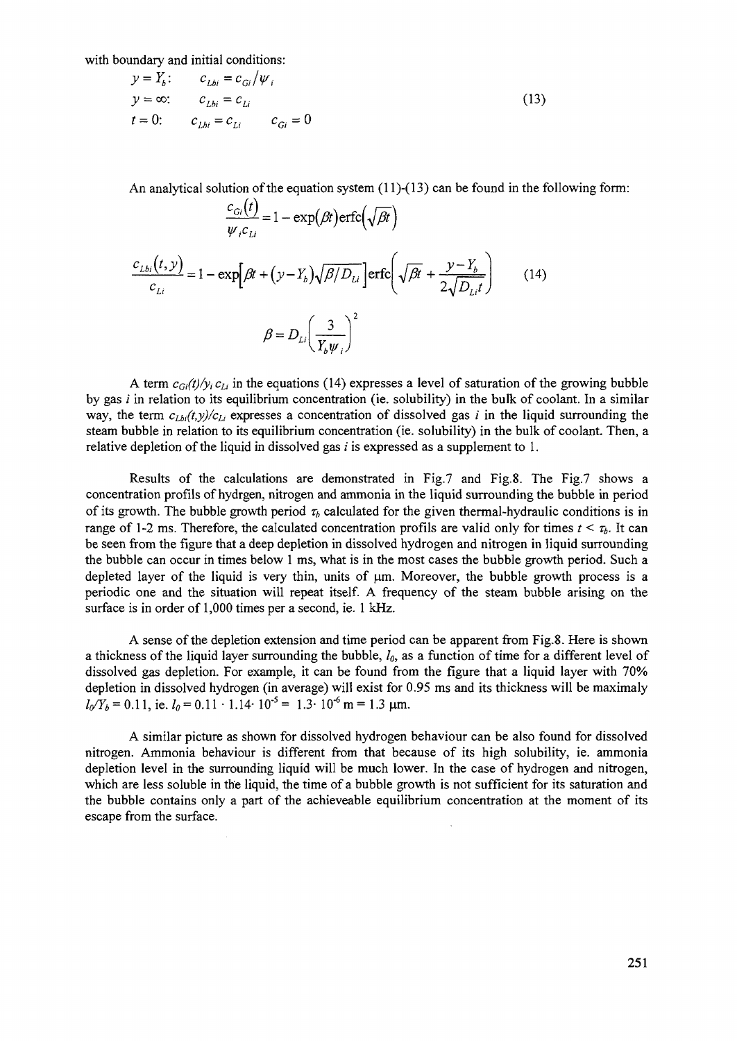with boundary and initial conditions:

$$
y = Y_b: \t c_{Lbi} = c_{Gi}/\psi_i
$$
  
\n
$$
y = \infty: \t c_{Lbi} = c_{Li}
$$
  
\n
$$
t = 0: \t c_{Lbi} = c_{Li}
$$
  
\n
$$
c_{Gi} = 0
$$
\n(13)

An analytical solution of the equation system  $(11)-(13)$  can be found in the following form:

$$
\frac{c_{Gi}(t)}{\psi_{i}c_{Li}} = 1 - \exp(\beta t) \text{erfc}\left(\sqrt{\beta t}\right)
$$

$$
\frac{c_{Lbi}(t, y)}{c_{Li}} = 1 - \exp\left[\beta t + (y - Y_b)\sqrt{\beta/D_{Li}}\right] \text{erfc}\left(\sqrt{\beta t} + \frac{y - Y_b}{2\sqrt{D_{Li}t}}\right) \tag{14}
$$

$$
\beta = D_{Li}\left(\frac{3}{Y_b\psi_i}\right)^2
$$

*A* term  $c_{Gi}(t)/y_i c_{Li}$  in the equations (14) expresses a level of saturation of the growing bubble by gas  $i$  in relation to its equilibrium concentration (ie. solubility) in the bulk of coolant. In a similar way, the term  $c_{Lb}/(t, y)/c_{L}$  expresses a concentration of dissolved gas *i* in the liquid surrounding the steam bubble in relation to its equilibrium concentration (ie. solubility) in the bulk of coolant. Then, a relative depletion of the liquid in dissolved gas  $i$  is expressed as a supplement to 1.

Results of the calculations are demonstrated in Fig.7 and Fig.8. The Fig.7 shows a concentration profils of hydrgen, nitrogen and ammonia in the liquid surrounding the bubble in period of its growth. The bubble growth period  $\tau_b$  calculated for the given thermal-hydraulic conditions is in range of 1-2 ms. Therefore, the calculated concentration profils are valid only for times  $t < \tau_b$ . It can be seen from the figure that a deep depletion in dissolved hydrogen and nitrogen in liquid surrounding the bubble can occur in times below 1 ms, what is in the most cases the bubble growth period. Such a depleted layer of the liquid is very thin, units of um. Moreover, the bubble growth process is a periodic one and the situation will repeat itself. A frequency of the steam bubble arising on the surface is in order of 1,000 times per a second, ie. 1 kHz.

A sense of the depletion extension and time period can be apparent from Fig.8. Here is shown a thickness of the liquid layer surrounding the bubble, *l0,* as a function of time for a different level of dissolved gas depletion. For example, it can be found from the figure that a liquid layer with 70% depletion in dissolved hydrogen (in average) will exist for 0.95 ms and its thickness will be maximaly = 0.11, ie.  $l_0$  = 0.11 · 1.14 · 10<sup>-5</sup> = 1.3 · 10<sup>-6</sup> m = 1.3 µm.

A similar picture as shown for dissolved hydrogen behaviour can be also found for dissolved nitrogen. Ammonia behaviour is different from that because of its high solubility, ie. ammonia depletion level in the surrounding liquid will be much lower. In the case of hydrogen and nitrogen, which are less soluble in the liquid, the time of a bubble growth is not sufficient for its saturation and the bubble contains only a part of the achieveable equilibrium concentration at the moment of its escape from the surface.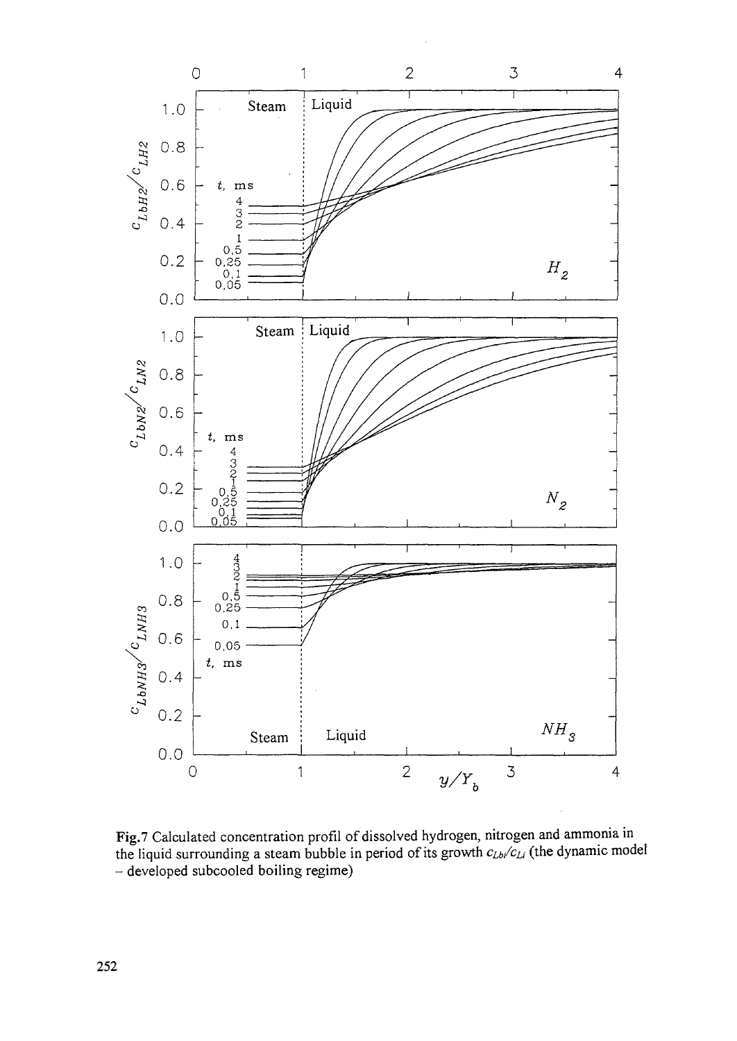

Fig.7 Calculated concentration profil of dissolved hydrogen, nitrogen and ammonia in the liquid surrounding a steam bubble in period of its growth *cib/cLi* (the dynamic model - developed subcooled boiling regime)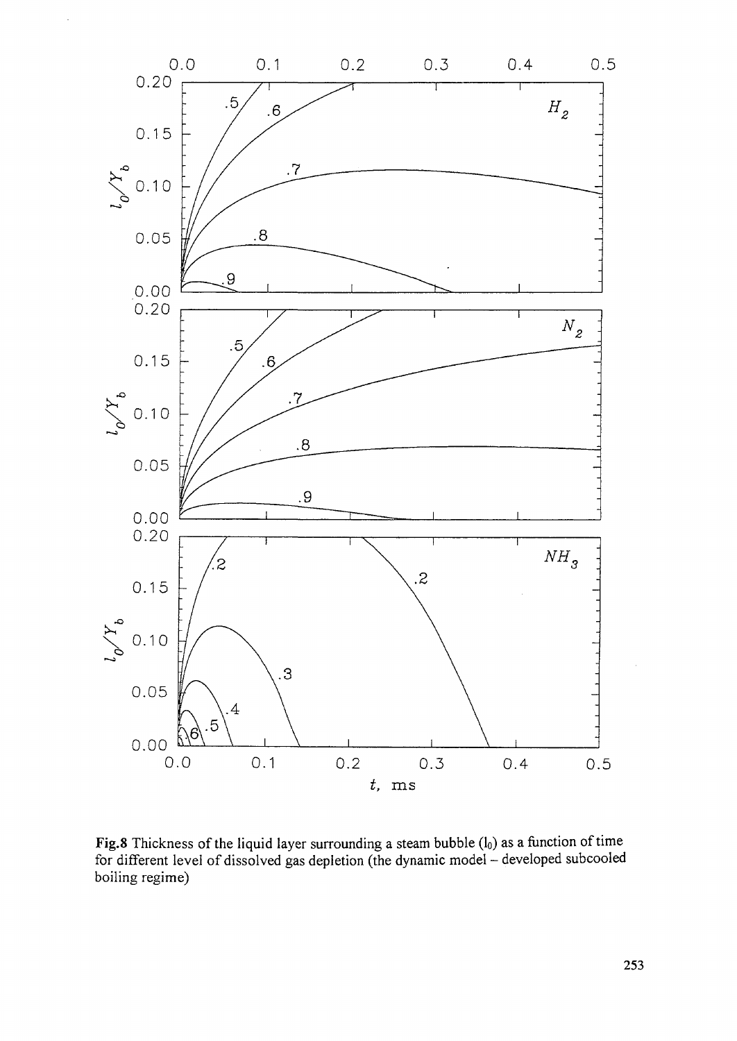

Fig.8 Thickness of the liquid layer surrounding a steam bubble  $(l_0)$  as a function of time for different level of dissolved gas depletion (the dynamic model - developed subcooled boiling regime)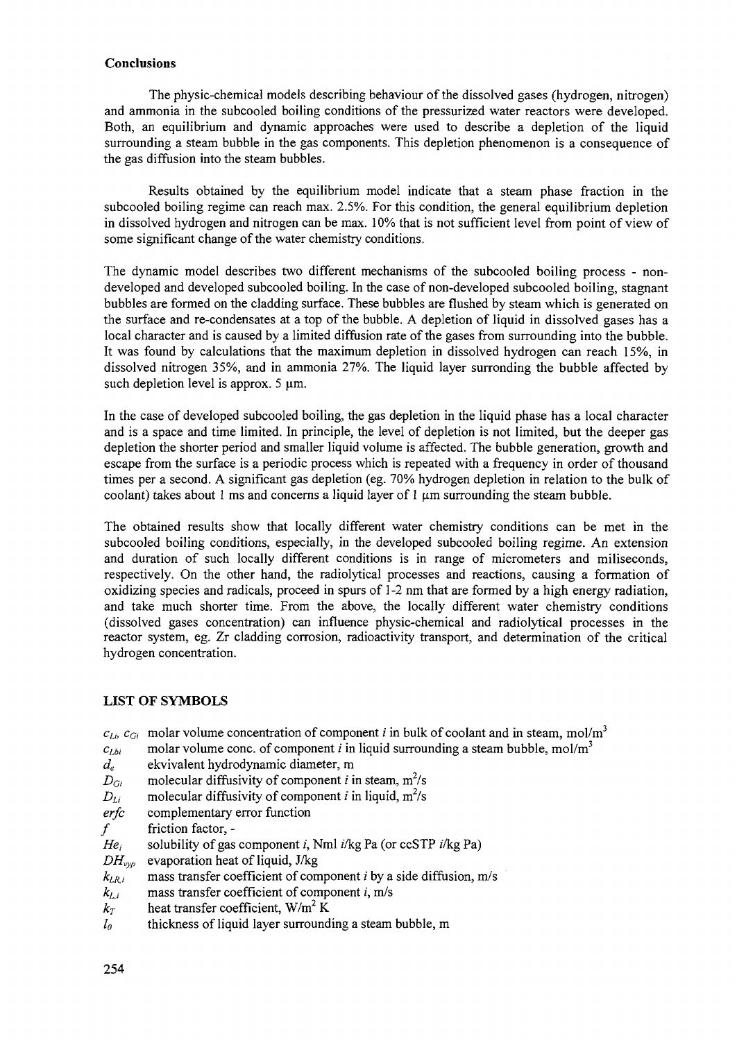## **Conclusions**

The physic-chemical models describing behaviour of the dissolved gases (hydrogen, nitrogen) and ammonia in the subcooled boiling conditions of the pressurized water reactors were developed. Both, an equilibrium and dynamic approaches were used to describe a depletion of the liquid surrounding a steam bubble in the gas components. This depletion phenomenon is a consequence of the gas diffusion into the steam bubbles.

Results obtained by the equilibrium model indicate that a steam phase fraction in the subcooled boiling regime can reach max. 2.5%. For this condition, the general equilibrium depletion in dissolved hydrogen and nitrogen can be max. 10% that is not sufficient level from point of view of some significant change of the water chemistry conditions.

The dynamic model describes two different mechanisms of the subcooled boiling process - nondeveloped and developed subcooled boiling. In the case of non-developed subcooled boiling, stagnant bubbles are formed on the cladding surface. These bubbles are flushed by steam which is generated on the surface and re-condensates at a top of the bubble, A depletion of liquid in dissolved gases has a local character and is caused by a limited diffusion rate of the gases from surrounding into the bubble. It was found by calculations that the maximum depletion in dissolved hydrogen can reach 15%, in dissolved nitrogen 35%, and in ammonia 27%. The liquid layer surronding the bubble affected by such depletion level is approx. 5 um.

In the case of developed subcooled boiling, the gas depletion in the liquid phase has a local character and is a space and time limited. In principle, the level of depletion is not limited, but the deeper gas depletion the shorter period and smaller liquid volume is affected. The bubble generation, growth and escape from the surface is a periodic process which is repeated with a frequency in order of thousand times per a second. A significant gas depletion (eg. 70% hydrogen depletion in relation to the bulk of coolant) takes about 1 ms and concerns a liquid layer of 1  $\mu$ m surrounding the steam bubble.

The obtained results show that locally different water chemistry conditions can be met in the subcooled boiling conditions, especially, in the developed subcooled boiling regime. An extension and duration of such locally different conditions is in range of micrometers and miliseconds, respectively. On the other hand, the radiolytical processes and reactions, causing a formation of oxidizing species and radicals, proceed in spurs of 1 -2 nm that are formed by a high energy radiation, and take much shorter time. From the above, the locally different water chemistry conditions (dissolved gases concentration) can influence physic-chemical and radiolytical processes in the reactor system, eg. Zr cladding corrosion, radioactivity transport, and determination of the critical hydrogen concentration.

# **LIST OF SYMBOLS**

 $c_{\ell i}$ ,  $c_{\ell i}$  molar volume concentration of component *i* in bulk of coolant and in steam, mol/m<sup>3</sup>

- $c_{Lbi}$  molar volume cone, of component *i* in liquid surrounding a steam bubble, mol/m<sup>3</sup>
- *de* ekvivalent hydrodynamic diameter, m
- $D_{Gi}$  molecular diffusivity of component *i* in steam, m<sup>2</sup>/s
- $D_{Li}$  molecular diffusivity of component *i* in liquid, m<sup>2</sup>/s
- *erfc* complementary error function
- $f$  friction factor, -
- $He<sub>i</sub>$  solubility of gas component *i*, Nml *i/kg Pa* (or ccSTP *i/kg Pa*)
- *DHvyp* evaporation heat of liquid, J/kg
- $k_{LRi}$  mass transfer coefficient of component *i* by a side diffusion, m/s
- $k_{L,i}$  mass transfer coefficient of component *i*, m/s
- $k_T$  heat transfer coefficient, W/m<sup>2</sup> K
- *lo* thickness of liquid layer surrounding a steam bubble, m